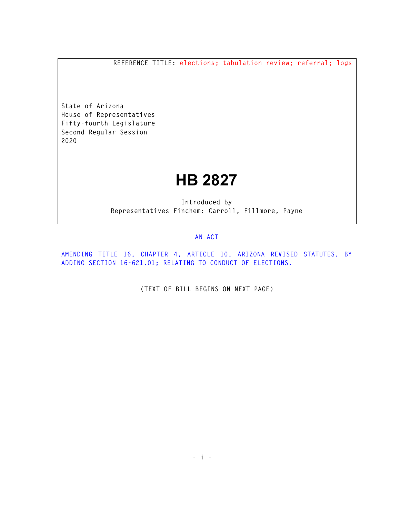**REFERENCE TITLE: elections; tabulation review; referral; logs** 

**State of Arizona House of Representatives Fifty-fourth Legislature Second Regular Session 2020** 

## **HB 2827**

**Introduced by Representatives Finchem: Carroll, Fillmore, Payne** 

## **AN ACT**

**AMENDING TITLE 16, CHAPTER 4, ARTICLE 10, ARIZONA REVISED STATUTES, BY ADDING SECTION 16-621.01; RELATING TO CONDUCT OF ELECTIONS.** 

**(TEXT OF BILL BEGINS ON NEXT PAGE)**